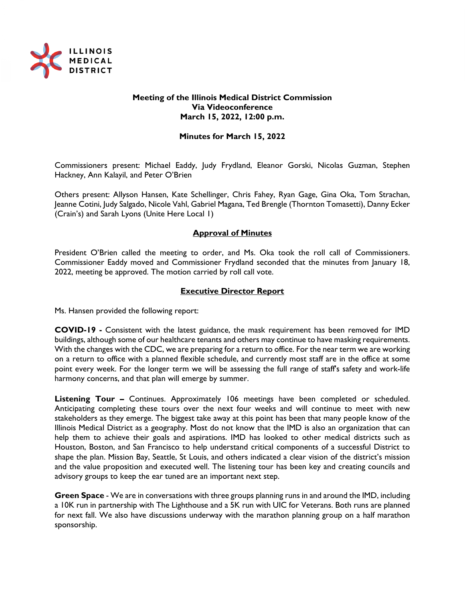

### **Meeting of the Illinois Medical District Commission Via Videoconference March 15, 2022, 12:00 p.m.**

### **Minutes for March 15, 2022**

Commissioners present: Michael Eaddy, Judy Frydland, Eleanor Gorski, Nicolas Guzman, Stephen Hackney, Ann Kalayil, and Peter O'Brien

Others present: Allyson Hansen, Kate Schellinger, Chris Fahey, Ryan Gage, Gina Oka, Tom Strachan, Jeanne Cotini, Judy Salgado, Nicole Vahl, Gabriel Magana, Ted Brengle (Thornton Tomasetti), Danny Ecker (Crain's) and Sarah Lyons (Unite Here Local 1)

### **Approval of Minutes**

President O'Brien called the meeting to order, and Ms. Oka took the roll call of Commissioners. Commissioner Eaddy moved and Commissioner Frydland seconded that the minutes from January 18, 2022, meeting be approved. The motion carried by roll call vote.

### **Executive Director Report**

Ms. Hansen provided the following report:

**COVID-19 -** Consistent with the latest guidance, the mask requirement has been removed for IMD buildings, although some of our healthcare tenants and others may continue to have masking requirements. With the changes with the CDC, we are preparing for a return to office. For the near term we are working on a return to office with a planned flexible schedule, and currently most staff are in the office at some point every week. For the longer term we will be assessing the full range of staff's safety and work-life harmony concerns, and that plan will emerge by summer.

**Listening Tour –** Continues. Approximately 106 meetings have been completed or scheduled. Anticipating completing these tours over the next four weeks and will continue to meet with new stakeholders as they emerge. The biggest take away at this point has been that many people know of the Illinois Medical District as a geography. Most do not know that the IMD is also an organization that can help them to achieve their goals and aspirations. IMD has looked to other medical districts such as Houston, Boston, and San Francisco to help understand critical components of a successful District to shape the plan. Mission Bay, Seattle, St Louis, and others indicated a clear vision of the district's mission and the value proposition and executed well. The listening tour has been key and creating councils and advisory groups to keep the ear tuned are an important next step.

**Green Space** - We are in conversations with three groups planning runs in and around the IMD, including a 10K run in partnership with The Lighthouse and a 5K run with UIC for Veterans. Both runs are planned for next fall. We also have discussions underway with the marathon planning group on a half marathon sponsorship.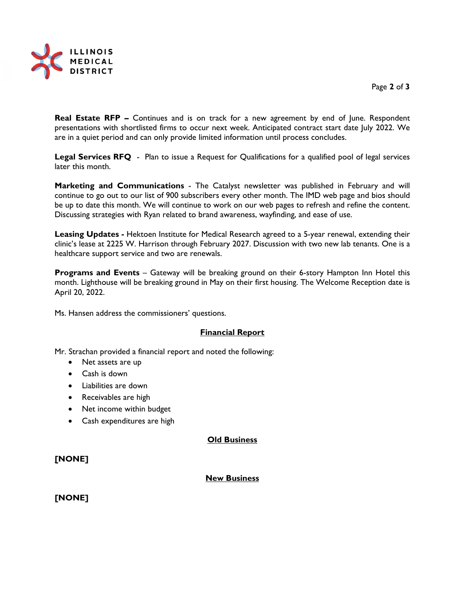

Page **2** of **3**

**Real Estate RFP –** Continues and is on track for a new agreement by end of June. Respondent presentations with shortlisted firms to occur next week. Anticipated contract start date July 2022. We are in a quiet period and can only provide limited information until process concludes.

**Legal Services RFQ** - Plan to issue a Request for Qualifications for a qualified pool of legal services later this month.

**Marketing and Communications** - The Catalyst newsletter was published in February and will continue to go out to our list of 900 subscribers every other month. The IMD web page and bios should be up to date this month. We will continue to work on our web pages to refresh and refine the content. Discussing strategies with Ryan related to brand awareness, wayfinding, and ease of use.

**Leasing Updates -** Hektoen Institute for Medical Research agreed to a 5-year renewal, extending their clinic's lease at 2225 W. Harrison through February 2027. Discussion with two new lab tenants. One is a healthcare support service and two are renewals.

**Programs and Events** – Gateway will be breaking ground on their 6-story Hampton Inn Hotel this month. Lighthouse will be breaking ground in May on their first housing. The Welcome Reception date is April 20, 2022.

Ms. Hansen address the commissioners' questions.

### **Financial Report**

Mr. Strachan provided a financial report and noted the following:

- Net assets are up
- Cash is down
- Liabilities are down
- Receivables are high
- Net income within budget
- Cash expenditures are high

### **Old Business**

## **[NONE]**

### **New Business**

## **[NONE]**